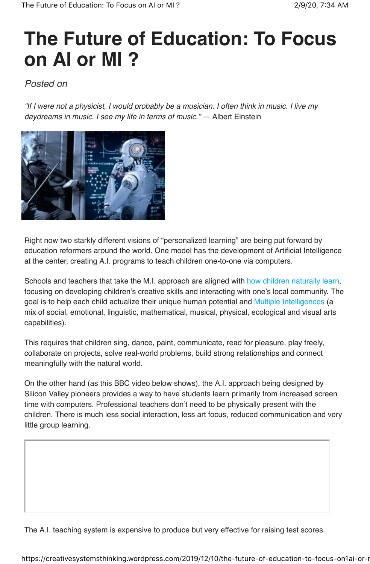## **The Future of Education: To Focus on AI or MI ?**

## Posted on

"If I were not a physicist, I would probably be a musician. I often think in music. I live my daydreams in music. I see my life in terms of music." ― Albert Einstein



Right now two starkly different visions of "personalized learning" are being put forward by education reformers around the world. One model has the development of Artificial Intelligence at the center, creating A.I. programs to teach children one-to-one via computers.

Schools and teachers that take the M.I. approach are aligned with how children naturally learn, focusing on developing children's creative skills and interacting with one's local community. The goal is to help each child actualize their unique human potential and Multiple Intelligences (a mix of social, emotional, linguistic, mathematical, musical, physical, ecological and visual arts capabilities).

This requires that children sing, dance, paint, communicate, read for pleasure, play freely, collaborate on projects, solve real-world problems, build strong relationships and connect meaningfully with the natural world.

On the other hand (as this BBC video below shows), the A.I. approach being designed by Silicon Valley pioneers provides a way to have students learn primarily from increased screen time with computers. Professional teachers don't need to be physically present with the children. There is much less social interaction, less art focus, reduced communication and very little group learning.

The A.I. teaching system is expensive to produce but very effective for raising test scores.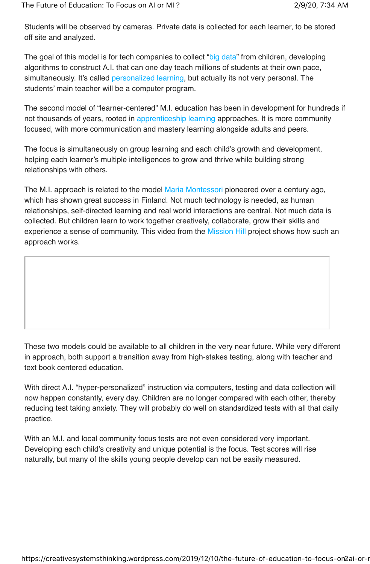Students will be observed by cameras. Private data is collected for each learner, to be stored off site and analyzed.

The goal of this model is for tech companies to collect "big data" from children, developing algorithms to construct A.I. that can one day teach millions of students at their own pace, simultaneously. It's called personalized learning, but actually its not very personal. The students' main teacher will be a computer program.

The second model of "learner-centered" M.I. education has been in development for hundreds if not thousands of years, rooted in apprenticeship learning approaches. It is more community focused, with more communication and mastery learning alongside adults and peers.

The focus is simultaneously on group learning and each child's growth and development, helping each learner's multiple intelligences to grow and thrive while building strong relationships with others.

The M.I. approach is related to the model Maria Montessori pioneered over a century ago, which has shown great success in Finland. Not much technology is needed, as human relationships, self-directed learning and real world interactions are central. Not much data is collected. But children learn to work together creatively, collaborate, grow their skills and experience a sense of community. This video from the Mission Hill project shows how such an approach works.

These two models could be available to all children in the very near future. While very different in approach, both support a transition away from high-stakes testing, along with teacher and text book centered education.

With direct A.I. "hyper-personalized" instruction via computers, testing and data collection will now happen constantly, every day. Children are no longer compared with each other, thereby reducing test taking anxiety. They will probably do well on standardized tests with all that daily practice.

With an M.I. and local community focus tests are not even considered very important. Developing each child's creativity and unique potential is the focus. Test scores will rise naturally, but many of the skills young people develop can not be easily measured.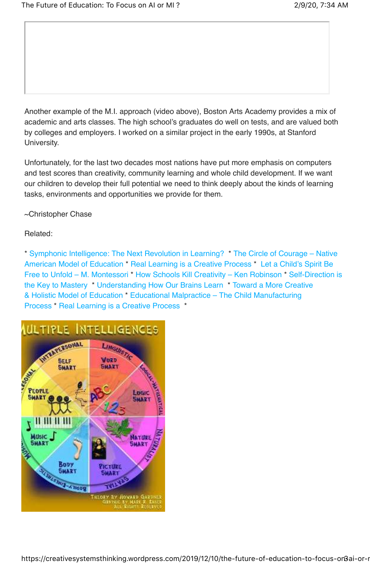Another example of the M.I. approach (video above), Boston Arts Academy provides a mix of academic and arts classes. The high school's graduates do well on tests, and are valued both by colleges and employers. I worked on a similar project in the early 1990s, at Stanford University.

Unfortunately, for the last two decades most nations have put more emphasis on computers and test scores than creativity, community learning and whole child development. If we want our children to develop their full potential we need to think deeply about the kinds of learning tasks, environments and opportunities we provide for them.

~Christopher Chase

Related:

\* Symphonic Intelligence: The Next Revolution in Learning? \* The Circle of Courage – Native American Model of Education \* Real Learning is a Creative Process \* Let a Child's Spirit Be Free to Unfold – M. Montessori \* How Schools Kill Creativity – Ken Robinson \* Self-Direction is the Key to Mastery \* Understanding How Our Brains Learn \* Toward a More Creative & Holistic Model of Education \* Educational Malpractice – The Child Manufacturing Process \* Real Learning is a Creative Process \*